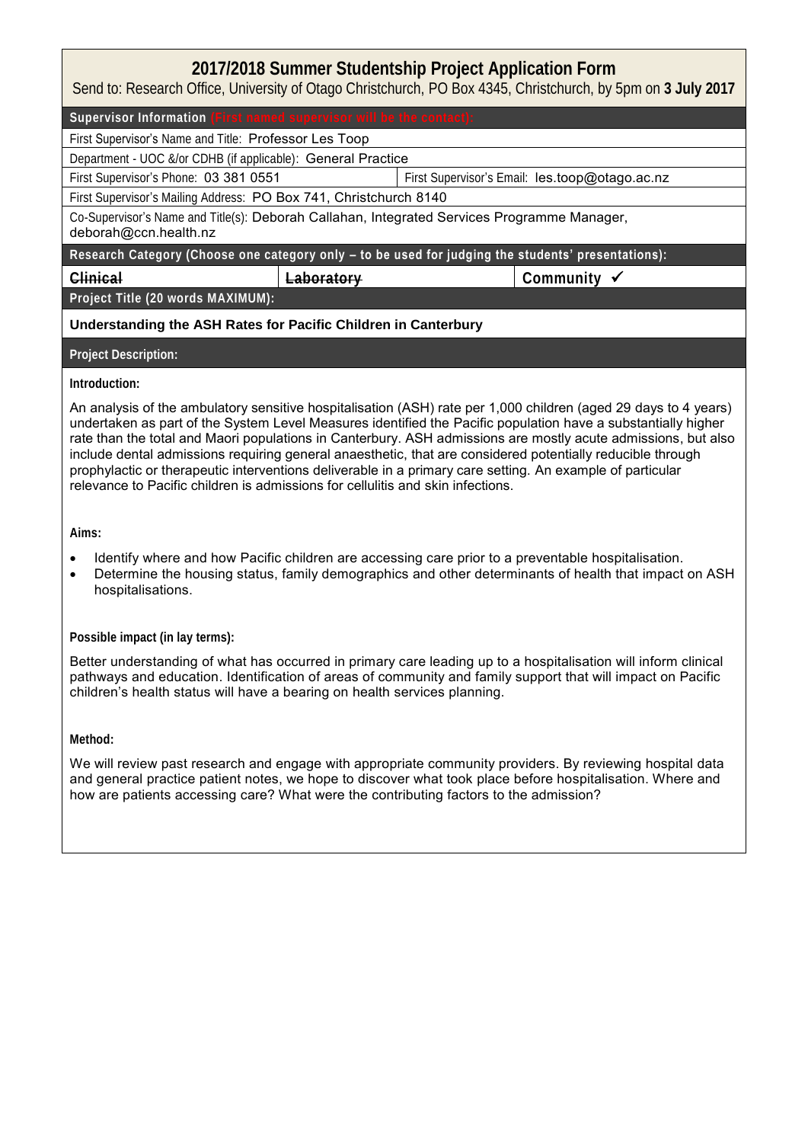## **2017/2018 Summer Studentship Project Application Form**

Send to: Research Office, University of Otago Christchurch, PO Box 4345, Christchurch, by 5pm on **3 July 2017**

Supervisor Information

First Supervisor's Name and Title: Professor Les Toop

Department - UOC &/or CDHB (if applicable): General Practice

First Supervisor's Phone: 03 381 0551 First Supervisor's Email: les.toop@otago.ac.nz

First Supervisor's Mailing Address: PO Box 741, Christchurch 8140

Co-Supervisor's Name and Title(s): Deborah Callahan, Integrated Services Programme Manager, deborah@ccn.health.nz

**Research Category (Choose one category only – to be used for judging the students' presentations):**

**Clinical Laboratory Community** 

**Project Title (20 words MAXIMUM):**

## **Understanding the ASH Rates for Pacific Children in Canterbury**

**Project Description:**

## **Introduction:**

An analysis of the ambulatory sensitive hospitalisation (ASH) rate per 1,000 children (aged 29 days to 4 years) undertaken as part of the System Level Measures identified the Pacific population have a substantially higher rate than the total and Maori populations in Canterbury. ASH admissions are mostly acute admissions, but also include dental admissions requiring general anaesthetic, that are considered potentially reducible through prophylactic or therapeutic interventions deliverable in a primary care setting. An example of particular relevance to Pacific children is admissions for cellulitis and skin infections.

**Aims:**

- Identify where and how Pacific children are accessing care prior to a preventable hospitalisation.
- Determine the housing status, family demographics and other determinants of health that impact on ASH hospitalisations.

## **Possible impact (in lay terms):**

Better understanding of what has occurred in primary care leading up to a hospitalisation will inform clinical pathways and education. Identification of areas of community and family support that will impact on Pacific children's health status will have a bearing on health services planning.

**Method:**

We will review past research and engage with appropriate community providers. By reviewing hospital data and general practice patient notes, we hope to discover what took place before hospitalisation. Where and how are patients accessing care? What were the contributing factors to the admission?